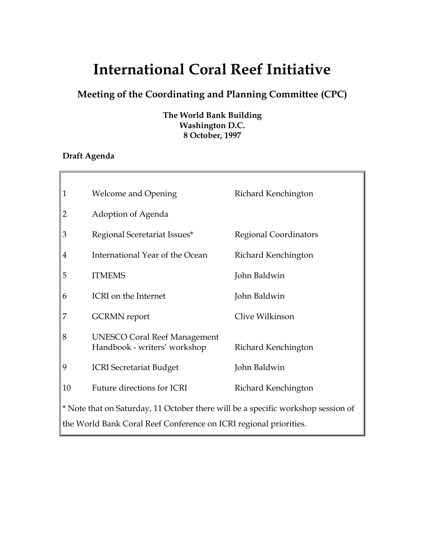# **International Coral Reef Initiative**

## **Meeting of the Coordinating and Planning Committee (CPC)**

**The World Bank Building Washington D.C. 8 October, 1997**

#### **Draft Agenda**

 $\mathsf F$ 

| $\vert$ 1                                                                        | <b>Welcome and Opening</b>                                          | Richard Kenchington   |  |  |
|----------------------------------------------------------------------------------|---------------------------------------------------------------------|-----------------------|--|--|
| $\overline{2}$                                                                   | Adoption of Agenda                                                  |                       |  |  |
| 3                                                                                | Regional Sceretariat Issues*                                        | Regional Coordinators |  |  |
| $\overline{4}$                                                                   | International Year of the Ocean                                     | Richard Kenchington   |  |  |
| 5                                                                                | <b>ITMEMS</b>                                                       | John Baldwin          |  |  |
| 6                                                                                | <b>ICRI</b> on the Internet                                         | John Baldwin          |  |  |
|                                                                                  | <b>GCRMN</b> report                                                 | Clive Wilkinson       |  |  |
| 8                                                                                | <b>UNESCO Coral Reef Management</b><br>Handbook - writers' workshop | Richard Kenchington   |  |  |
| 9                                                                                | <b>ICRI</b> Secretariat Budget                                      | John Baldwin          |  |  |
| 10                                                                               | Future directions for ICRI                                          | Richard Kenchington   |  |  |
| * Note that on Saturday, 11 October there will be a specific workshop session of |                                                                     |                       |  |  |
| the World Bank Coral Reef Conference on ICRI regional priorities.                |                                                                     |                       |  |  |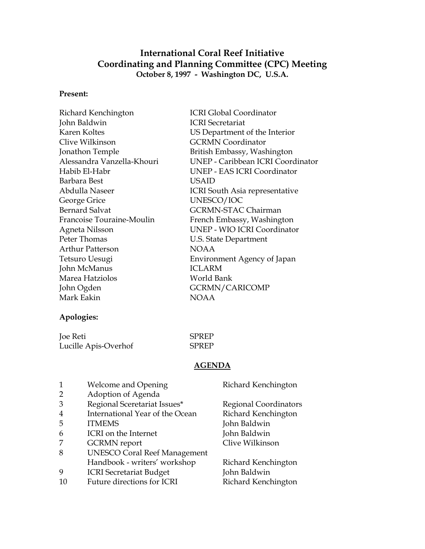## **International Coral Reef Initiative Coordinating and Planning Committee (CPC) Meeting October 8, 1997 - Washington DC, U.S.A.**

#### **Present:**

| Richard Kenchington        | <b>ICRI Global Coordinator</b>        |
|----------------------------|---------------------------------------|
| John Baldwin               | <b>ICRI</b> Secretariat               |
| Karen Koltes               | US Department of the Interior         |
| Clive Wilkinson            | <b>GCRMN</b> Coordinator              |
| Jonathon Temple            | British Embassy, Washington           |
| Alessandra Vanzella-Khouri | UNEP - Caribbean ICRI Coordinator     |
| Habib El-Habr              | <b>UNEP - EAS ICRI Coordinator</b>    |
| Barbara Best               | <b>USAID</b>                          |
| Abdulla Naseer             | <b>ICRI South Asia representative</b> |
| George Grice               | UNESCO/IOC                            |
| <b>Bernard Salvat</b>      | <b>GCRMN-STAC Chairman</b>            |
| Francoise Touraine-Moulin  | French Embassy, Washington            |
| Agneta Nilsson             | UNEP - WIO ICRI Coordinator           |
| Peter Thomas               | <b>U.S. State Department</b>          |
| <b>Arthur Patterson</b>    | <b>NOAA</b>                           |
| Tetsuro Uesugi             | Environment Agency of Japan           |
| John McManus               | <b>ICLARM</b>                         |
| Marea Hatziolos            | World Bank                            |
| John Ogden                 | <b>GCRMN/CARICOMP</b>                 |
| Mark Eakin                 | <b>NOAA</b>                           |

## **Apologies:**

| Joe Reti             | <b>SPREP</b> |
|----------------------|--------------|
| Lucille Apis-Overhof | <b>SPREP</b> |

#### **AGENDA**

|                | <b>Welcome and Opening</b>          | Richard Kenchington          |
|----------------|-------------------------------------|------------------------------|
|                | Adoption of Agenda                  |                              |
| 3              | Regional Sceretariat Issues*        | <b>Regional Coordinators</b> |
| $\overline{4}$ | International Year of the Ocean     | Richard Kenchington          |
| 5              | <b>ITMEMS</b>                       | John Baldwin                 |
| 6              | <b>ICRI</b> on the Internet         | John Baldwin                 |
|                | <b>GCRMN</b> report                 | Clive Wilkinson              |
| 8              | <b>UNESCO Coral Reef Management</b> |                              |
|                | Handbook - writers' workshop        | Richard Kenchington          |
|                | <b>ICRI</b> Secretariat Budget      | John Baldwin                 |
| 10             | Future directions for ICRI          | Richard Kenchington          |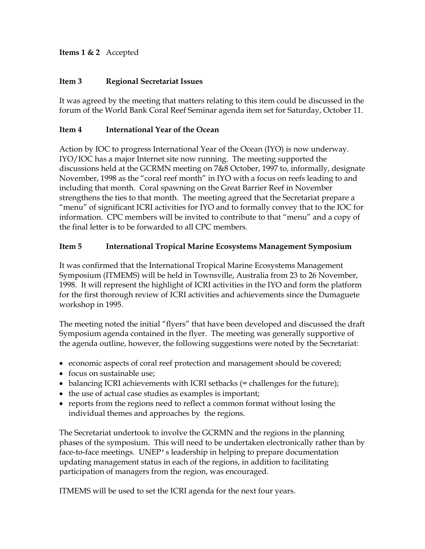#### **Items 1 & 2** Accepted

#### **Item 3 Regional Secretariat Issues**

It was agreed by the meeting that matters relating to this item could be discussed in the forum of the World Bank Coral Reef Seminar agenda item set for Saturday, October 11.

#### **Item 4 International Year of the Ocean**

Action by IOC to progress International Year of the Ocean (IYO) is now underway. IYO/IOC has a major Internet site now running. The meeting supported the discussions held at the GCRMN meeting on 7&8 October, 1997 to, informally, designate November, 1998 as the "coral reef month" in IYO with a focus on reefs leading to and including that month. Coral spawning on the Great Barrier Reef in November strengthens the ties to that month. The meeting agreed that the Secretariat prepare a "menu" of significant ICRI activities for IYO and to formally convey that to the IOC for information. CPC members will be invited to contribute to that "menu" and a copy of the final letter is to be forwarded to all CPC members.

#### **Item 5 International Tropical Marine Ecosystems Management Symposium**

It was confirmed that the International Tropical Marine Ecosystems Management Symposium (ITMEMS) will be held in Townsville, Australia from 23 to 26 November, 1998. It will represent the highlight of ICRI activities in the IYO and form the platform for the first thorough review of ICRI activities and achievements since the Dumaguete workshop in 1995.

The meeting noted the initial "flyers" that have been developed and discussed the draft Symposium agenda contained in the flyer. The meeting was generally supportive of the agenda outline, however, the following suggestions were noted by the Secretariat:

- economic aspects of coral reef protection and management should be covered;
- focus on sustainable use;
- balancing ICRI achievements with ICRI setbacks (= challenges for the future);
- the use of actual case studies as examples is important;
- reports from the regions need to reflect a common format without losing the individual themes and approaches by the regions.

The Secretariat undertook to involve the GCRMN and the regions in the planning phases of the symposium. This will need to be undertaken electronically rather than by face-to-face meetings. UNEP's leadership in helping to prepare documentation updating management status in each of the regions, in addition to facilitating participation of managers from the region, was encouraged.

ITMEMS will be used to set the ICRI agenda for the next four years.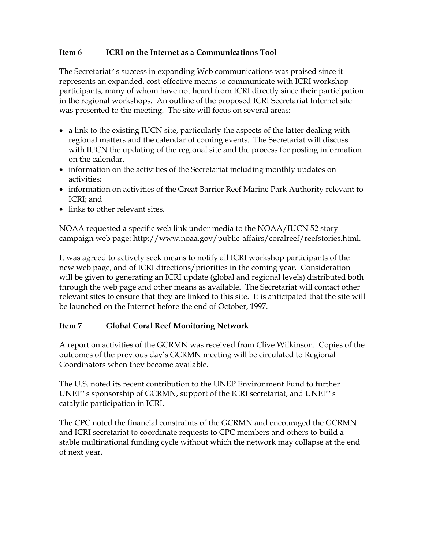#### **Item 6 ICRI on the Internet as a Communications Tool**

The Secretariat's success in expanding Web communications was praised since it represents an expanded, cost-effective means to communicate with ICRI workshop participants, many of whom have not heard from ICRI directly since their participation in the regional workshops. An outline of the proposed ICRI Secretariat Internet site was presented to the meeting. The site will focus on several areas:

- a link to the existing IUCN site, particularly the aspects of the latter dealing with regional matters and the calendar of coming events. The Secretariat will discuss with IUCN the updating of the regional site and the process for posting information on the calendar.
- information on the activities of the Secretariat including monthly updates on activities;
- information on activities of the Great Barrier Reef Marine Park Authority relevant to ICRI; and
- links to other relevant sites.

NOAA requested a specific web link under media to the NOAA/IUCN 52 story campaign web page: http://www.noaa.gov/public-affairs/coralreef/reefstories.html.

It was agreed to actively seek means to notify all ICRI workshop participants of the new web page, and of ICRI directions/priorities in the coming year. Consideration will be given to generating an ICRI update (global and regional levels) distributed both through the web page and other means as available. The Secretariat will contact other relevant sites to ensure that they are linked to this site. It is anticipated that the site will be launched on the Internet before the end of October, 1997.

#### **Item 7 Global Coral Reef Monitoring Network**

A report on activities of the GCRMN was received from Clive Wilkinson. Copies of the outcomes of the previous day's GCRMN meeting will be circulated to Regional Coordinators when they become available.

The U.S. noted its recent contribution to the UNEP Environment Fund to further UNEP's sponsorship of GCRMN, support of the ICRI secretariat, and UNEP's catalytic participation in ICRI.

The CPC noted the financial constraints of the GCRMN and encouraged the GCRMN and ICRI secretariat to coordinate requests to CPC members and others to build a stable multinational funding cycle without which the network may collapse at the end of next year.